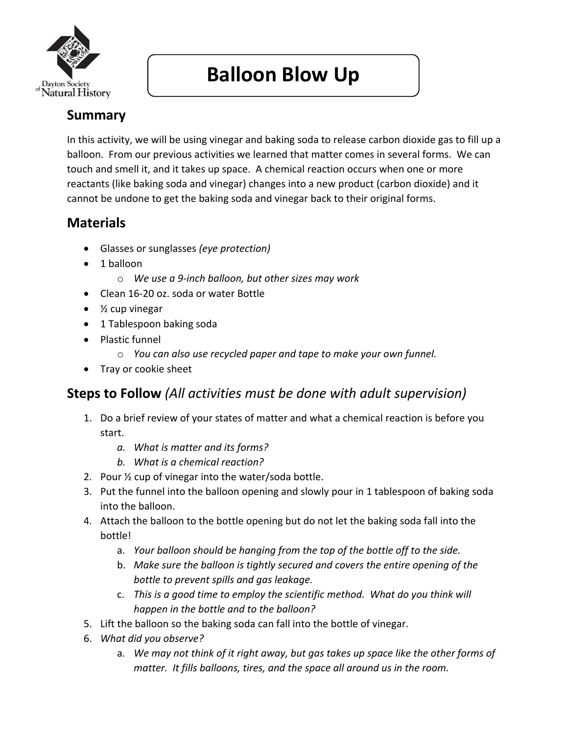

# **Balloon Blow Up**

## **Summary**

In this activity, we will be using vinegar and baking soda to release carbon dioxide gas to fill up a balloon. From our previous activities we learned that matter comes in several forms. We can touch and smell it, and it takes up space. A chemical reaction occurs when one or more reactants (like baking soda and vinegar) changes into a new product (carbon dioxide) and it cannot be undone to get the baking soda and vinegar back to their original forms.

### **Materials**

- Glasses or sunglasses *(eye protection)*
- 1 balloon
	- o *We use a 9-inch balloon, but other sizes may work*
- Clean 16-20 oz. soda or water Bottle
- $\bullet$  % cup vinegar
- 1 Tablespoon baking soda
- Plastic funnel
	- o *You can also use recycled paper and tape to make your own funnel.*
- Tray or cookie sheet

#### **Steps to Follow** *(All activities must be done with adult supervision)*

- 1. Do a brief review of your states of matter and what a chemical reaction is before you start.
	- *a. What is matter and its forms?*
	- *b. What is a chemical reaction?*
- 2. Pour ½ cup of vinegar into the water/soda bottle.
- 3. Put the funnel into the balloon opening and slowly pour in 1 tablespoon of baking soda into the balloon.
- 4. Attach the balloon to the bottle opening but do not let the baking soda fall into the bottle!
	- a. *Your balloon should be hanging from the top of the bottle off to the side.*
	- b. *Make sure the balloon is tightly secured and covers the entire opening of the bottle to prevent spills and gas leakage.*
	- c. *This is a good time to employ the scientific method. What do you think will happen in the bottle and to the balloon?*
- 5. Lift the balloon so the baking soda can fall into the bottle of vinegar.
- 6. *What did you observe?*
	- a. *We may not think of it right away, but gas takes up space like the other forms of matter. It fills balloons, tires, and the space all around us in the room.*